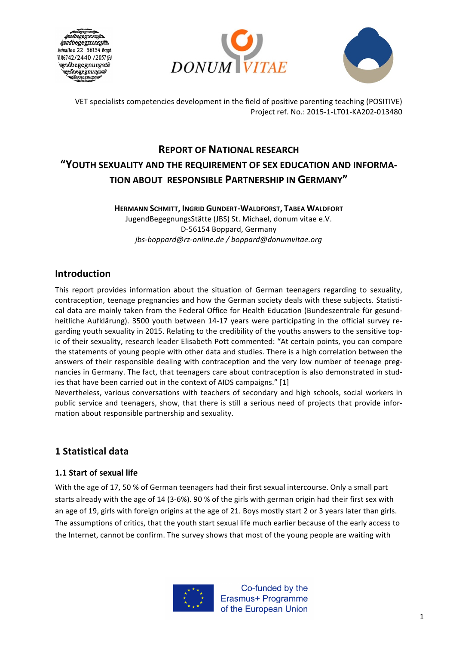





# **REPORT OF NATIONAL RESEARCH** "YOUTH SEXUALITY AND THE REQUIREMENT OF SEX EDUCATION AND INFORMA-**TION ABOUT RESPONSIBLE PARTNERSHIP IN GERMANY"**

#### **HERMANN SCHMITT, INGRID GUNDERT-WALDFORST, TABEA WALDFORT**

JugendBegegnungsStätte (JBS) St. Michael, donum vitae e.V. D-56154 Boppard, Germany *jbs-boppard@rz-online.de / boppard@donumvitae.org*

### **Introduction**

This report provides information about the situation of German teenagers regarding to sexuality, contraception, teenage pregnancies and how the German society deals with these subjects. Statistical data are mainly taken from the Federal Office for Health Education (Bundeszentrale für gesundheitliche Aufklärung). 3500 youth between 14-17 years were participating in the official survey regarding youth sexuality in 2015. Relating to the credibility of the youths answers to the sensitive topic of their sexuality, research leader Elisabeth Pott commented: "At certain points, you can compare the statements of young people with other data and studies. There is a high correlation between the answers of their responsible dealing with contraception and the very low number of teenage pregnancies in Germany. The fact, that teenagers care about contraception is also demonstrated in studies that have been carried out in the context of AIDS campaigns." [1]

Nevertheless, various conversations with teachers of secondary and high schools, social workers in public service and teenagers, show, that there is still a serious need of projects that provide information about responsible partnership and sexuality.

### **1 Statistical data**

#### **1.1 Start of sexual life**

With the age of 17, 50 % of German teenagers had their first sexual intercourse. Only a small part starts already with the age of 14 (3-6%). 90 % of the girls with german origin had their first sex with an age of 19, girls with foreign origins at the age of 21. Boys mostly start 2 or 3 years later than girls. The assumptions of critics, that the youth start sexual life much earlier because of the early access to the Internet, cannot be confirm. The survey shows that most of the young people are waiting with

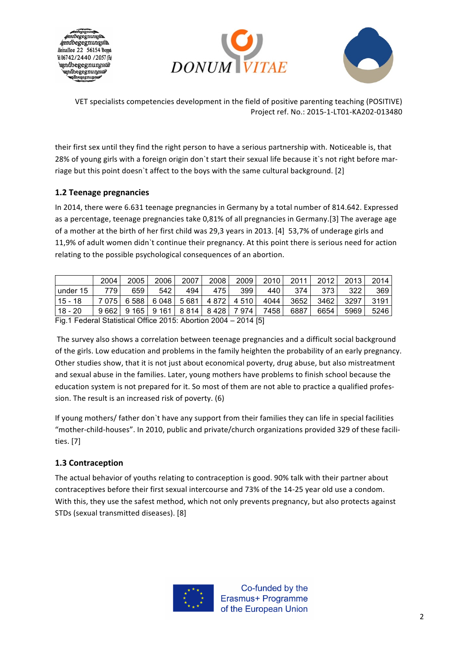





their first sex until they find the right person to have a serious partnership with. Noticeable is, that 28% of young girls with a foreign origin don`t start their sexual life because it`s not right before marriage but this point doesn't affect to the boys with the same cultural background. [2]

#### **1.2 Teenage pregnancies**

In 2014, there were 6.631 teenage pregnancies in Germany by a total number of 814.642. Expressed as a percentage, teenage pregnancies take 0,81% of all pregnancies in Germany.[3] The average age of a mother at the birth of her first child was 29,3 years in 2013. [4] 53,7% of underage girls and 11,9% of adult women didn`t continue their pregnancy. At this point there is serious need for action relating to the possible psychological consequences of an abortion.

|                                                                               | 2004  | 2005 | 2006          | 2007    | 2008 | 2009  | 2010 | 2011 | 2012 | 2013 | 2014 |
|-------------------------------------------------------------------------------|-------|------|---------------|---------|------|-------|------|------|------|------|------|
| under 15                                                                      | 779   | 659  | 542           | 494     | 475  | 399   | 440  | 374  | 373  | 322  | 369  |
| i 15 - 18                                                                     | 7 075 | 6588 | 6 048 l       | 5 6 8 1 | 4872 | 4 510 | 4044 | 3652 | 3462 | 3297 | 3191 |
| 18 - 20                                                                       | 9662  |      | $9165$   9161 | 8 8 1 4 | 8428 | 7974  | 7458 | 6887 | 6654 | 5969 | 5246 |
| $\overline{F}$ ia 1 Eederal Statistical Office 2015: Abortion 2004 – 2014 [5] |       |      |               |         |      |       |      |      |      |      |      |

Fig.1 Federal Statistical Office 2015: Abortion 2004 – 2014 [5]

The survey also shows a correlation between teenage pregnancies and a difficult social background of the girls. Low education and problems in the family heighten the probability of an early pregnancy. Other studies show, that it is not just about economical poverty, drug abuse, but also mistreatment and sexual abuse in the families. Later, young mothers have problems to finish school because the education system is not prepared for it. So most of them are not able to practice a qualified profession. The result is an increased risk of poverty. (6)

If young mothers/ father don't have any support from their families they can life in special facilities "mother-child-houses". In 2010, public and private/church organizations provided 329 of these facilities. [7]

#### **1.3 Contraception**

The actual behavior of youths relating to contraception is good. 90% talk with their partner about contraceptives before their first sexual intercourse and 73% of the 14-25 year old use a condom. With this, they use the safest method, which not only prevents pregnancy, but also protects against STDs (sexual transmitted diseases). [8]

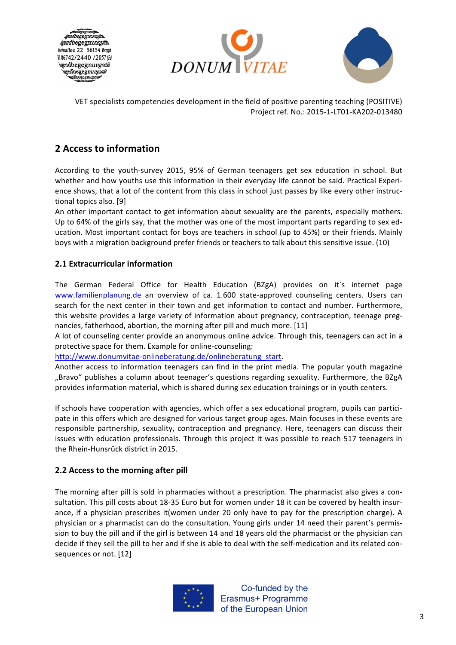





## **2 Access to information**

According to the youth-survey 2015, 95% of German teenagers get sex education in school. But whether and how youths use this information in their everyday life cannot be said. Practical Experience shows, that a lot of the content from this class in school just passes by like every other instructional topics also. [9]

An other important contact to get information about sexuality are the parents, especially mothers. Up to 64% of the girls say, that the mother was one of the most important parts regarding to sex education. Most important contact for boys are teachers in school (up to 45%) or their friends. Mainly boys with a migration background prefer friends or teachers to talk about this sensitive issue. (10)

#### **2.1 Extracurricular information**

The German Federal Office for Health Education (BZgA) provides on it's internet page www.familienplanung.de an overview of ca. 1.600 state-approved counseling centers. Users can search for the next center in their town and get information to contact and number. Furthermore, this website provides a large variety of information about pregnancy, contraception, teenage pregnancies, fatherhood, abortion, the morning after pill and much more. [11]

A lot of counseling center provide an anonymous online advice. Through this, teenagers can act in a protective space for them. Example for online-counseling:

http://www.donumvitae-onlineberatung.de/onlineberatung\_start.

Another access to information teenagers can find in the print media. The popular youth magazine "Bravo" publishes a column about teenager's questions regarding sexuality. Furthermore, the BZgA provides information material, which is shared during sex education trainings or in youth centers.

If schools have cooperation with agencies, which offer a sex educational program, pupils can participate in this offers which are designed for various target group ages. Main focuses in these events are responsible partnership, sexuality, contraception and pregnancy. Here, teenagers can discuss their issues with education professionals. Through this project it was possible to reach 517 teenagers in the Rhein-Hunsrück district in 2015.

#### **2.2 Access to the morning after pill**

The morning after pill is sold in pharmacies without a prescription. The pharmacist also gives a consultation. This pill costs about 18-35 Euro but for women under 18 it can be covered by health insurance, if a physician prescribes it (women under 20 only have to pay for the prescription charge). A physician or a pharmacist can do the consultation. Young girls under 14 need their parent's permission to buy the pill and if the girl is between 14 and 18 years old the pharmacist or the physician can decide if they sell the pill to her and if she is able to deal with the self-medication and its related consequences or not. [12]

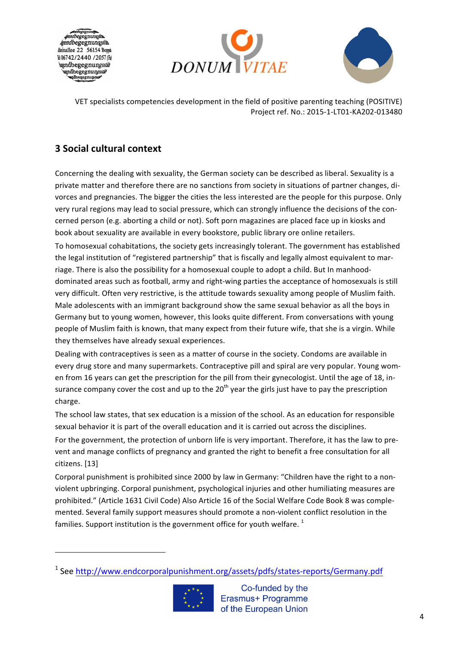





## **3 Social cultural context**

<u> 1989 - Johann Stein, fransk politiker (d. 1989)</u>

Concerning the dealing with sexuality, the German society can be described as liberal. Sexuality is a private matter and therefore there are no sanctions from society in situations of partner changes, divorces and pregnancies. The bigger the cities the less interested are the people for this purpose. Only very rural regions may lead to social pressure, which can strongly influence the decisions of the concerned person (e.g. aborting a child or not). Soft porn magazines are placed face up in kiosks and book about sexuality are available in every bookstore, public library ore online retailers. To homosexual cohabitations, the society gets increasingly tolerant. The government has established

the legal institution of "registered partnership" that is fiscally and legally almost equivalent to marriage. There is also the possibility for a homosexual couple to adopt a child. But In manhooddominated areas such as football, army and right-wing parties the acceptance of homosexuals is still very difficult. Often very restrictive, is the attitude towards sexuality among people of Muslim faith. Male adolescents with an immigrant background show the same sexual behavior as all the boys in Germany but to young women, however, this looks quite different. From conversations with young people of Muslim faith is known, that many expect from their future wife, that she is a virgin. While they themselves have already sexual experiences.

Dealing with contraceptives is seen as a matter of course in the society. Condoms are available in every drug store and many supermarkets. Contraceptive pill and spiral are very popular. Young women from 16 years can get the prescription for the pill from their gynecologist. Until the age of 18, insurance company cover the cost and up to the  $20<sup>th</sup>$  year the girls just have to pay the prescription charge.

The school law states, that sex education is a mission of the school. As an education for responsible sexual behavior it is part of the overall education and it is carried out across the disciplines.

For the government, the protection of unborn life is very important. Therefore, it has the law to prevent and manage conflicts of pregnancy and granted the right to benefit a free consultation for all citizens. [13]

Corporal punishment is prohibited since 2000 by law in Germany: "Children have the right to a nonviolent upbringing. Corporal punishment, psychological injuries and other humiliating measures are prohibited." (Article 1631 Civil Code) Also Article 16 of the Social Welfare Code Book 8 was complemented. Several family support measures should promote a non-violent conflict resolution in the families. Support institution is the government office for youth welfare.  $1$ 

<sup>&</sup>lt;sup>1</sup> See http://www.endcorporalpunishment.org/assets/pdfs/states-reports/Germany.pdf



Co-funded by the Erasmus+ Programme of the European Union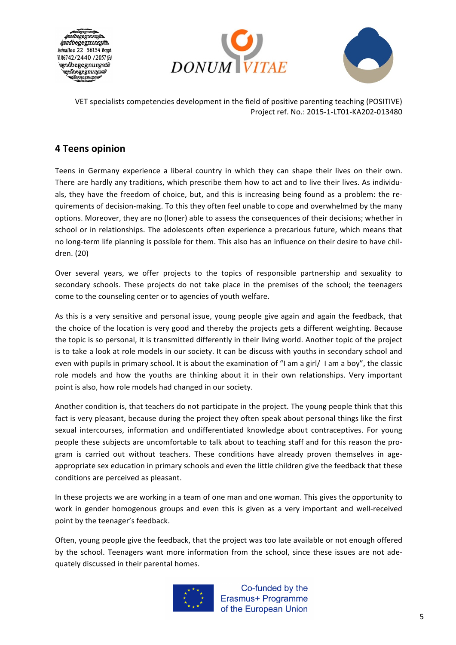





### **4 Teens opinion**

Teens in Germany experience a liberal country in which they can shape their lives on their own. There are hardly any traditions, which prescribe them how to act and to live their lives. As individuals, they have the freedom of choice, but, and this is increasing being found as a problem: the requirements of decision-making. To this they often feel unable to cope and overwhelmed by the many options. Moreover, they are no (loner) able to assess the consequences of their decisions; whether in school or in relationships. The adolescents often experience a precarious future, which means that no long-term life planning is possible for them. This also has an influence on their desire to have children. (20)

Over several years, we offer projects to the topics of responsible partnership and sexuality to secondary schools. These projects do not take place in the premises of the school; the teenagers come to the counseling center or to agencies of youth welfare.

As this is a very sensitive and personal issue, young people give again and again the feedback, that the choice of the location is very good and thereby the projects gets a different weighting. Because the topic is so personal, it is transmitted differently in their living world. Another topic of the project is to take a look at role models in our society. It can be discuss with youths in secondary school and even with pupils in primary school. It is about the examination of "I am a girl/ I am a boy", the classic role models and how the youths are thinking about it in their own relationships. Very important point is also, how role models had changed in our society.

Another condition is, that teachers do not participate in the project. The young people think that this fact is very pleasant, because during the project they often speak about personal things like the first sexual intercourses, information and undifferentiated knowledge about contraceptives. For young people these subjects are uncomfortable to talk about to teaching staff and for this reason the program is carried out without teachers. These conditions have already proven themselves in ageappropriate sex education in primary schools and even the little children give the feedback that these conditions are perceived as pleasant.

In these projects we are working in a team of one man and one woman. This gives the opportunity to work in gender homogenous groups and even this is given as a very important and well-received point by the teenager's feedback.

Often, young people give the feedback, that the project was too late available or not enough offered by the school. Teenagers want more information from the school, since these issues are not adequately discussed in their parental homes.

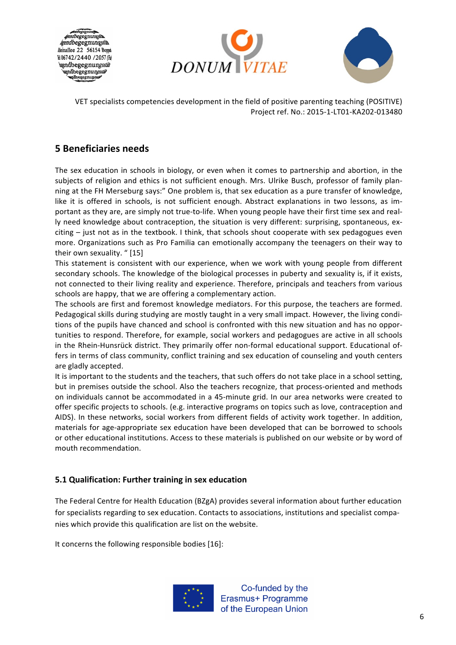





### **5 Beneficiaries needs**

The sex education in schools in biology, or even when it comes to partnership and abortion, in the subjects of religion and ethics is not sufficient enough. Mrs. Ulrike Busch, professor of family planning at the FH Merseburg says:" One problem is, that sex education as a pure transfer of knowledge, like it is offered in schools, is not sufficient enough. Abstract explanations in two lessons, as important as they are, are simply not true-to-life. When young people have their first time sex and really need knowledge about contraception, the situation is very different: surprising, spontaneous, ex $citing - just not as in the textbook. It think, that schools show to cooperate with sex pedagogues even$ more. Organizations such as Pro Familia can emotionally accompany the teenagers on their way to their own sexuality. "[15]

This statement is consistent with our experience, when we work with young people from different secondary schools. The knowledge of the biological processes in puberty and sexuality is, if it exists, not connected to their living reality and experience. Therefore, principals and teachers from various schools are happy, that we are offering a complementary action.

The schools are first and foremost knowledge mediators. For this purpose, the teachers are formed. Pedagogical skills during studying are mostly taught in a very small impact. However, the living conditions of the pupils have chanced and school is confronted with this new situation and has no opportunities to respond. Therefore, for example, social workers and pedagogues are active in all schools in the Rhein-Hunsrück district. They primarily offer non-formal educational support. Educational offers in terms of class community, conflict training and sex education of counseling and youth centers are gladly accepted.

It is important to the students and the teachers, that such offers do not take place in a school setting, but in premises outside the school. Also the teachers recognize, that process-oriented and methods on individuals cannot be accommodated in a 45-minute grid. In our area networks were created to offer specific projects to schools. (e.g. interactive programs on topics such as love, contraception and AIDS). In these networks, social workers from different fields of activity work together. In addition, materials for age-appropriate sex education have been developed that can be borrowed to schools or other educational institutions. Access to these materials is published on our website or by word of mouth recommendation.

#### **5.1 Qualification: Further training in sex education**

The Federal Centre for Health Education (BZgA) provides several information about further education for specialists regarding to sex education. Contacts to associations, institutions and specialist companies which provide this qualification are list on the website.

It concerns the following responsible bodies  $[16]$ :

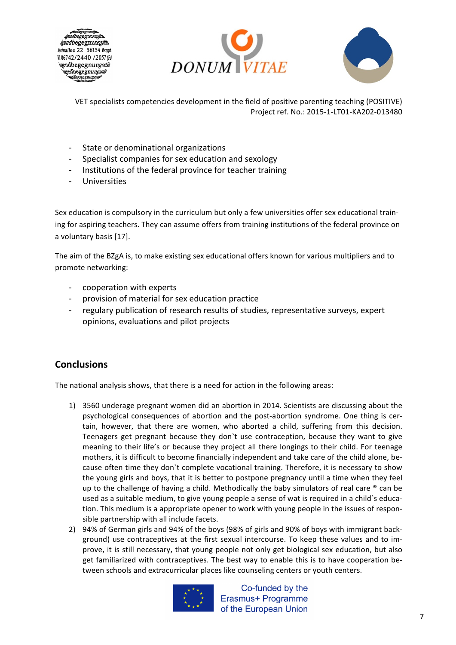





- State or denominational organizations
- Specialist companies for sex education and sexology
- Institutions of the federal province for teacher training
- Universities

Sex education is compulsory in the curriculum but only a few universities offer sex educational training for aspiring teachers. They can assume offers from training institutions of the federal province on a voluntary basis [17].

The aim of the BZgA is, to make existing sex educational offers known for various multipliers and to promote networking:

- cooperation with experts
- provision of material for sex education practice
- regulary publication of research results of studies, representative surveys, expert opinions, evaluations and pilot projects

### **Conclusions**

The national analysis shows, that there is a need for action in the following areas:

- 1) 3560 underage pregnant women did an abortion in 2014. Scientists are discussing about the psychological consequences of abortion and the post-abortion syndrome. One thing is certain, however, that there are women, who aborted a child, suffering from this decision. Teenagers get pregnant because they don't use contraception, because they want to give meaning to their life's or because they project all there longings to their child. For teenage mothers, it is difficult to become financially independent and take care of the child alone, because often time they don't complete vocational training. Therefore, it is necessary to show the young girls and boys, that it is better to postpone pregnancy until a time when they feel up to the challenge of having a child. Methodically the baby simulators of real care  $\degree$  can be used as a suitable medium, to give young people a sense of wat is required in a child`s education. This medium is a appropriate opener to work with young people in the issues of responsible partnership with all include facets.
- 2) 94% of German girls and 94% of the boys (98% of girls and 90% of boys with immigrant background) use contraceptives at the first sexual intercourse. To keep these values and to improve, it is still necessary, that young people not only get biological sex education, but also get familiarized with contraceptives. The best way to enable this is to have cooperation between schools and extracurricular places like counseling centers or youth centers.



Co-funded by the Erasmus+ Programme of the European Union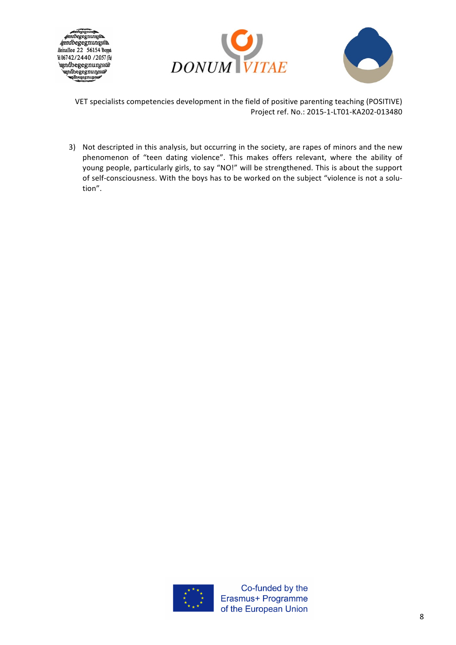





3) Not descripted in this analysis, but occurring in the society, are rapes of minors and the new phenomenon of "teen dating violence". This makes offers relevant, where the ability of young people, particularly girls, to say "NO!" will be strengthened. This is about the support of self-consciousness. With the boys has to be worked on the subject "violence is not a solution". 

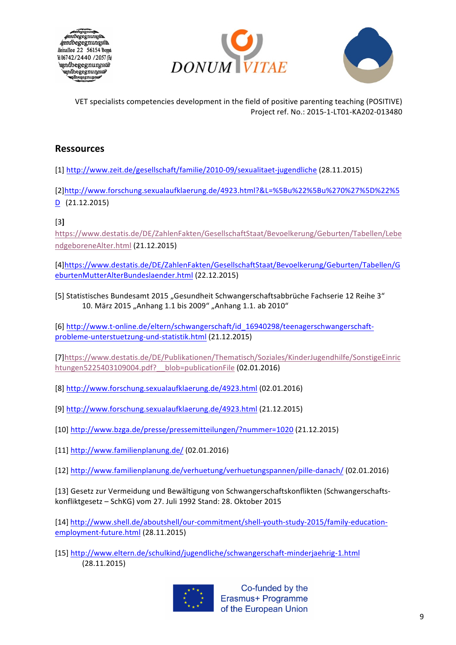





### **Ressources**

[1] http://www.zeit.de/gesellschaft/familie/2010-09/sexualitaet-jugendliche (28.11.2015)

[2]http://www.forschung.sexualaufklaerung.de/4923.html?&L=%5Bu%22%5Bu%270%27%5D%22%5 D (21.12.2015)

[3**]**

https://www.destatis.de/DE/ZahlenFakten/GesellschaftStaat/Bevoelkerung/Geburten/Tabellen/Lebe ndgeboreneAlter.html (21.12.2015)

[4]https://www.destatis.de/DE/ZahlenFakten/GesellschaftStaat/Bevoelkerung/Geburten/Tabellen/G eburtenMutterAlterBundeslaender.html (22.12.2015)

[5] Statistisches Bundesamt 2015 "Gesundheit Schwangerschaftsabbrüche Fachserie 12 Reihe 3" 10. März 2015 "Anhang 1.1 bis 2009" "Anhang 1.1. ab 2010"

[6] http://www.t-online.de/eltern/schwangerschaft/id\_16940298/teenagerschwangerschaftprobleme-unterstuetzung-und-statistik.html (21.12.2015)

[7]https://www.destatis.de/DE/Publikationen/Thematisch/Soziales/KinderJugendhilfe/SonstigeEinric htungen5225403109004.pdf?\_\_blob=publicationFile (02.01.2016)

[8] http://www.forschung.sexualaufklaerung.de/4923.html (02.01.2016)

[9] http://www.forschung.sexualaufklaerung.de/4923.html (21.12.2015)

[10] http://www.bzga.de/presse/pressemitteilungen/?nummer=1020 (21.12.2015)

[11]  $http://www.familienplanung.de/ (02.01.2016)$ 

[12] http://www.familienplanung.de/verhuetung/verhuetungspannen/pille-danach/ (02.01.2016)

[13] Gesetz zur Vermeidung und Bewältigung von Schwangerschaftskonflikten (Schwangerschaftskonfliktgesetz - SchKG) vom 27. Juli 1992 Stand: 28. Oktober 2015

[14] http://www.shell.de/aboutshell/our-commitment/shell-youth-study-2015/family-educationemployment-future.html (28.11.2015)

[15] http://www.eltern.de/schulkind/jugendliche/schwangerschaft-minderjaehrig-1.html (28.11.2015)



Co-funded by the Erasmus+ Programme of the European Union